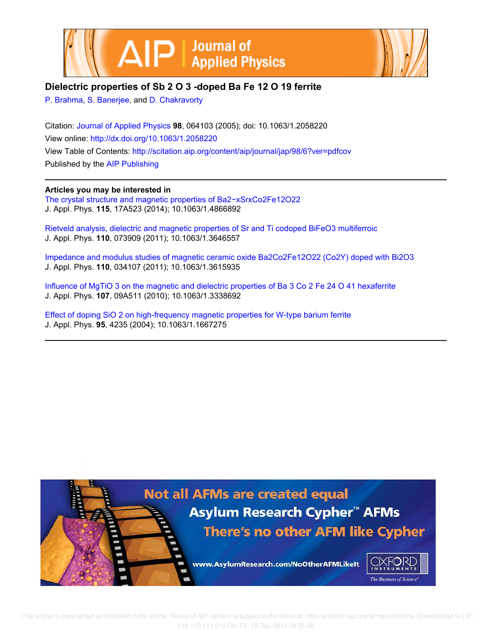



# **Dielectric properties of Sb 2 O 3 -doped Ba Fe 12 O 19 ferrite**

P. Brahma, S. Banerjee, and D. Chakravorty

Citation: Journal of Applied Physics **98**, 064103 (2005); doi: 10.1063/1.2058220 View online: http://dx.doi.org/10.1063/1.2058220 View Table of Contents: http://scitation.aip.org/content/aip/journal/jap/98/6?ver=pdfcov Published by the AIP Publishing

# **Articles you may be interested in**

The crystal structure and magnetic properties of Ba2−xSrxCo2Fe12O22 J. Appl. Phys. **115**, 17A523 (2014); 10.1063/1.4866892

Rietveld analysis, dielectric and magnetic properties of Sr and Ti codoped BiFeO3 multiferroic J. Appl. Phys. **110**, 073909 (2011); 10.1063/1.3646557

Impedance and modulus studies of magnetic ceramic oxide Ba2Co2Fe12O22 (Co2Y) doped with Bi2O3 J. Appl. Phys. **110**, 034107 (2011); 10.1063/1.3615935

Influence of MgTiO 3 on the magnetic and dielectric properties of Ba 3 Co 2 Fe 24 O 41 hexaferrite J. Appl. Phys. **107**, 09A511 (2010); 10.1063/1.3338692

Effect of doping SiO 2 on high-frequency magnetic properties for W-type barium ferrite J. Appl. Phys. **95**, 4235 (2004); 10.1063/1.1667275

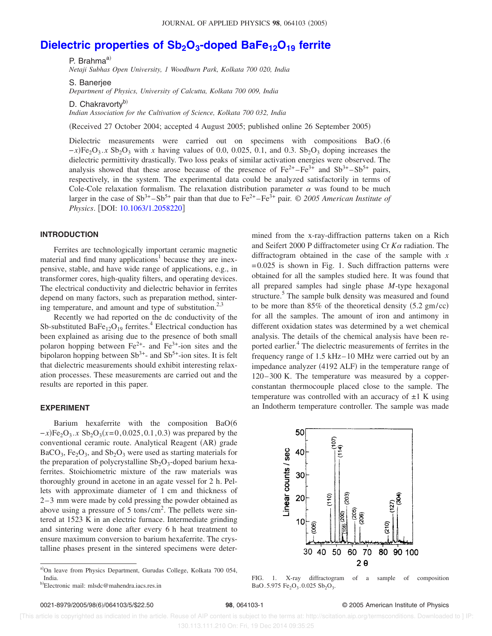# **Dielectric properties of Sb2O<sup>3</sup> -doped BaFe12O<sup>19</sup> ferrite**

P. Brahma $a^{(i)}$ 

*Netaji Subhas Open University, 1 Woodburn Park, Kolkata 700 020, India*

S. Banerjee

*Department of Physics, University of Calcutta, Kolkata 700 009, India*

D. Chakravorty<sup>b)</sup>

*Indian Association for the Cultivation of Science, Kolkata 700 032, India*

Received 27 October 2004; accepted 4 August 2005; published online 26 September 2005-

Dielectric measurements were carried out on specimens with compositions BaO. (6  $-x$ )Fe<sub>2</sub>O<sub>3</sub>. *x* Sb<sub>2</sub>O<sub>3</sub> with *x* having values of 0.0, 0.025, 0.1, and 0.3. Sb<sub>2</sub>O<sub>3</sub> doping increases the dielectric permittivity drastically. Two loss peaks of similar activation energies were observed. The analysis showed that these arose because of the presence of  $Fe^{2+} - Fe^{3+}$  and  $Sb^{3+} - Sb^{5+}$  pairs, respectively, in the system. The experimental data could be analyzed satisfactorily in terms of Cole-Cole relaxation formalism. The relaxation distribution parameter  $\alpha$  was found to be much larger in the case of  $Sb^{3+}$ – $Sb^{5+}$  pair than that due to  $Fe^{2+}$ – $Fe^{3+}$  pair. © 2005 American Institute of *Physics*. [DOI: 10.1063/1.2058220]

## **INTRODUCTION**

Ferrites are technologically important ceramic magnetic material and find many applications<sup>1</sup> because they are inexpensive, stable, and have wide range of applications, e.g., in transformer cores, high-quality filters, and operating devices. The electrical conductivity and dielectric behavior in ferrites depend on many factors, such as preparation method, sintering temperature, and amount and type of substitution. $2,3$ 

Recently we had reported on the dc conductivity of the Sb-substituted  $\text{BaFe}_{12}\text{O}_{19}$  ferrites.<sup>4</sup> Electrical conduction has been explained as arising due to the presence of both small polaron hopping between  $Fe^{2+}$ - and  $Fe^{3+}$ -ion sites and the bipolaron hopping between  $Sb^{3+}$ - and  $Sb^{5+}$ -ion sites. It is felt that dielectric measurements should exhibit interesting relaxation processes. These measurements are carried out and the results are reported in this paper.

#### **EXPERIMENT**

Barium hexaferrite with the composition BaO(6  $-x$ )Fe<sub>2</sub>O<sub>3</sub>.*x* Sb<sub>2</sub>O<sub>3</sub>(*x*=0, 0.025, 0.1, 0.3) was prepared by the conventional ceramic route. Analytical Reagent (AR) grade  $BaCO<sub>3</sub>$ , Fe<sub>2</sub>O<sub>3</sub>, and Sb<sub>2</sub>O<sub>3</sub> were used as starting materials for the preparation of polycrystalline  $Sb_2O_3$ -doped barium hexaferrites. Stoichiometric mixture of the raw materials was thoroughly ground in acetone in an agate vessel for 2 h. Pellets with approximate diameter of 1 cm and thickness of 2 – 3 mm were made by cold pressing the powder obtained as above using a pressure of 5 tons/cm<sup>2</sup>. The pellets were sintered at 1523 K in an electric furnace. Intermediate grinding and sintering were done after every 6 h heat treatment to ensure maximum conversion to barium hexaferrite. The crystalline phases present in the sintered specimens were determined from the x-ray-diffraction patterns taken on a Rich and Seifert 2000 P diffractometer using  $Cr K\alpha$  radiation. The diffractogram obtained in the case of the sample with *x*  $= 0.025$  is shown in Fig. 1. Such diffraction patterns were obtained for all the samples studied here. It was found that all prepared samples had single phase *M*-type hexagonal structure.<sup>5</sup> The sample bulk density was measured and found to be more than  $85\%$  of the theoretical density  $(5.2 \text{ gm/cc})$ for all the samples. The amount of iron and antimony in different oxidation states was determined by a wet chemical analysis. The details of the chemical analysis have been reported earlier.<sup>4</sup> The dielectric measurements of ferrites in the frequency range of 1.5 kHz– 10 MHz were carried out by an impedance analyzer (4192 ALF) in the temperature range of 120– 300 K. The temperature was measured by a copperconstantan thermocouple placed close to the sample. The temperature was controlled with an accuracy of  $\pm 1$  K using an Indotherm temperature controller. The sample was made



FIG. 1. X-ray diffractogram of a sample of composition  $BaO.5.975 \text{ Fe}_2O_3.0.025 \text{ Sb}_2O_3.$ 

#### **98**, 064103-1 © 2005 American Institute of Physics

 [This article is copyrighted as indicated in the article. Reuse of AIP content is subject to the terms at: http://scitation.aip.org/termsconditions. Downloaded to ] IP: 130.113.111.210 On: Fri, 19 Dec 2014 09:35:25

a)On leave from Physics Department, Gurudas College, Kolkata 700 054, India.

b)Electronic mail: mlsdc@mahendra.iacs.res.in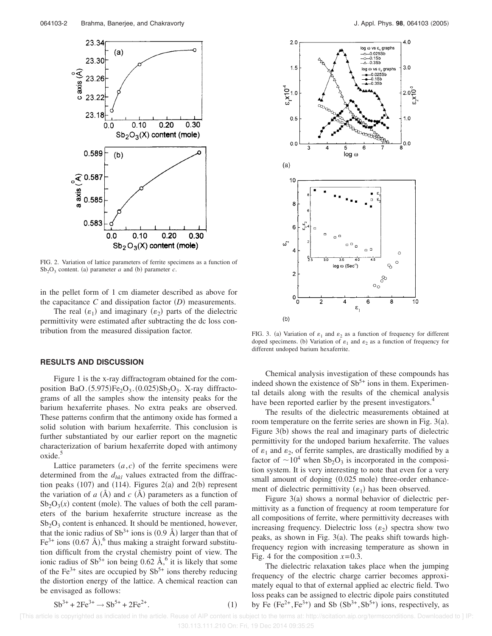

FIG. 2. Variation of lattice parameters of ferrite specimens as a function of  $Sb<sub>2</sub>O<sub>3</sub>$  content. (a) parameter *a* and (b) parameter *c*.

in the pellet form of 1 cm diameter described as above for the capacitance  $C$  and dissipation factor  $(D)$  measurements.

The real  $(\varepsilon_1)$  and imaginary  $(\varepsilon_2)$  parts of the dielectric permittivity were estimated after subtracting the dc loss contribution from the measured dissipation factor.

### **RESULTS AND DISCUSSION**

Figure 1 is the x-ray diffractogram obtained for the composition BaO. $(5.975)Fe<sub>2</sub>O<sub>3</sub>$ .  $(0.025)Sb<sub>2</sub>O<sub>3</sub>$ . X-ray diffractograms of all the samples show the intensity peaks for the barium hexaferrite phases. No extra peaks are observed. These patterns confirm that the antimony oxide has formed a solid solution with barium hexaferrite. This conclusion is further substantiated by our earlier report on the magnetic characterization of barium hexaferrite doped with antimony oxide.<sup>5</sup>

Lattice parameters  $(a, c)$  of the ferrite specimens were determined from the *dhkl* values extracted from the diffraction peaks  $(107)$  and  $(114)$ . Figures  $2(a)$  and  $2(b)$  represent the variation of  $a(A)$  and  $c(A)$  parameters as a function of  $Sb_2O_3(x)$  content (mole). The values of both the cell parameters of the barium hexaferrite structure increase as the  $Sb<sub>2</sub>O<sub>3</sub>$  content is enhanced. It should be mentioned, however, that the ionic radius of  $Sb^{3+}$  ions is (0.9 Å) larger than that of Fe<sup>3+</sup> ions  $(0.67 \text{ Å})$ , thus making a straight forward substitution difficult from the crystal chemistry point of view. The ionic radius of  $Sb^{5+}$  ion being 0.62 Å,<sup>6</sup> it is likely that some of the Fe<sup>3+</sup> sites are occupied by  $Sb<sup>5+</sup>$  ions thereby reducing the distortion energy of the lattice. A chemical reaction can be envisaged as follows:



FIG. 3. (a) Variation of  $\varepsilon_1$  and  $\varepsilon_2$  as a function of frequency for different doped specimens. (b) Variation of  $\varepsilon_1$  and  $\varepsilon_2$  as a function of frequency for different undoped barium hexaferrite.

Chemical analysis investigation of these compounds has indeed shown the existence of  $Sb^{5+}$  ions in them. Experimental details along with the results of the chemical analysis have been reported earlier by the present investigators.<sup>4</sup>

The results of the dielectric measurements obtained at room temperature on the ferrite series are shown in Fig.  $3(a)$ . Figure 3(b) shows the real and imaginary parts of dielectric permittivity for the undoped barium hexaferrite. The values of  $\varepsilon_1$  and  $\varepsilon_2$ , of ferrite samples, are drastically modified by a factor of  $\sim 10^4$  when Sb<sub>2</sub>O<sub>3</sub> is incorporated in the composition system. It is very interesting to note that even for a very small amount of doping (0.025 mole) three-order enhancement of dielectric permittivity  $(\varepsilon_1)$  has been observed.

Figure 3(a) shows a normal behavior of dielectric permittivity as a function of frequency at room temperature for all compositions of ferrite, where permittivity decreases with increasing frequency. Dielectric loss  $(\varepsilon_2)$  spectra show two peaks, as shown in Fig.  $3(a)$ . The peaks shift towards highfrequency region with increasing temperature as shown in Fig. 4 for the composition  $x=0.3$ .

The dielectric relaxation takes place when the jumping frequency of the electric charge carrier becomes approximately equal to that of external applied ac electric field. Two loss peaks can be assigned to electric dipole pairs constituted by Fe  $(Fe^{2+}, Fe^{3+})$  and Sb  $(Sb^{3+}, Sb^{5+})$  ions, respectively, as

$$
5b^{3+} + 2Fe^{3+} \rightarrow 5b^{5+} + 2Fe^{2+}
$$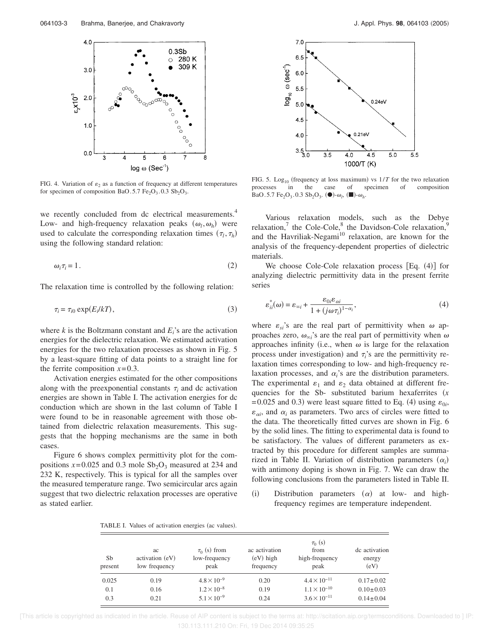

FIG. 4. Variation of  $\varepsilon_2$  as a function of frequency at different temperatures for specimen of composition BaO.5.7  $Fe<sub>2</sub>O<sub>3</sub>$ .0.3  $Sb<sub>2</sub>O<sub>3</sub>$ .

we recently concluded from dc electrical measurements.<sup>4</sup> Low- and high-frequency relaxation peaks  $(\omega_l, \omega_h)$  were used to calculate the corresponding relaxation times  $(\tau_l, \tau_h)$ using the following standard relation:

$$
\omega_i \tau_i = 1. \tag{2}
$$

The relaxation time is controlled by the following relation:

$$
\tau_i = \tau_{i0} \exp(E_i/kT), \tag{3}
$$

where  $k$  is the Boltzmann constant and  $E_i$ 's are the activation energies for the dielectric relaxation. We estimated activation energies for the two relaxation processes as shown in Fig. 5 by a least-square fitting of data points to a straight line for the ferrite composition  $x=0.3$ .

Activation energies estimated for the other compositions along with the preexponential constants  $\tau_i$  and dc activation energies are shown in Table I. The activation energies for dc conduction which are shown in the last column of Table I were found to be in reasonable agreement with those obtained from dielectric relaxation measurements. This suggests that the hopping mechanisms are the same in both cases.

Figure 6 shows complex permittivity plot for the compositions  $x=0.025$  and 0.3 mole  $Sb<sub>2</sub>O<sub>3</sub>$  measured at 234 and 232 K, respectively. This is typical for all the samples over the measured temperature range. Two semicircular arcs again suggest that two dielectric relaxation processes are operative as stated earlier.



FIG. 5. Log<sub>10</sub> (frequency at loss maximum) vs  $1/T$  for the two relaxation processes in the case of specimen of composition  $BaO. 5.7 Fe<sub>2</sub>O<sub>3</sub>$ . 0.3  $Sb<sub>2</sub>O<sub>3</sub>$ . ( $\bullet$ )- $\omega_l$ , ( $\blacksquare$ )- $\omega_h$ .

Various relaxation models, such as the Debye relaxation,<sup>7</sup> the Cole-Cole,<sup>8</sup> the Davidson-Cole relaxation,<sup>9</sup> and the Havriliak-Negami<sup>10</sup> relaxation, are known for the analysis of the frequency-dependent properties of dielectric materials.

We choose Cole-Cole relaxation process [Eq. (4)] for analyzing dielectric permittivity data in the present ferrite series

$$
\varepsilon_{ii}^*(\omega) = \varepsilon_{\infty i} + \frac{\varepsilon_{0i}\varepsilon_{\alpha i}}{1 + (j\omega\tau_i)^{1-\alpha_i}},\tag{4}
$$

where  $\varepsilon_{si}$ 's are the real part of permittivity when  $\omega$  approaches zero,  $\omega_{\infty i}$ 's are the real part of permittivity when  $\omega$ approaches infinity (i.e., when  $\omega$  is large for the relaxation process under investigation) and  $\tau_i$ 's are the permittivity relaxation times corresponding to low- and high-frequency relaxation processes, and  $\alpha_i$ 's are the distribution parameters. The experimental  $\varepsilon_1$  and  $\varepsilon_2$  data obtained at different frequencies for the Sb- substituted barium hexaferrites (x  $= 0.025$  and 0.3) were least square fitted to Eq. (4) using  $\varepsilon_{0i}$ ,  $\varepsilon_{\alpha i}$ , and  $\alpha_i$  as parameters. Two arcs of circles were fitted to the data. The theoretically fitted curves are shown in Fig. 6 by the solid lines. The fitting to experimental data is found to be satisfactory. The values of different parameters as extracted by this procedure for different samples are summarized in Table II. Variation of distribution parameters  $(\alpha_i)$ with antimony doping is shown in Fig. 7. We can draw the following conclusions from the parameters listed in Table II.

 $(i)$ Distribution parameters  $(\alpha)$  at low- and highfrequency regimes are temperature independent.

TABLE I. Values of activation energies (ac values).

| Sb<br>present | ac<br>activation (eV)<br>low frequency | $\tau_0$ (s) from<br>low-frequency<br>peak | ac activation<br>$(eV)$ high<br>frequency | $\tau_0$ (s)<br>from<br>high-frequency<br>peak | de activation<br>energy<br>(eV) |  |
|---------------|----------------------------------------|--------------------------------------------|-------------------------------------------|------------------------------------------------|---------------------------------|--|
| 0.025         | 0.19                                   | $4.8 \times 10^{-9}$                       | 0.20                                      | $4.4 \times 10^{-11}$                          | $0.17 \pm 0.02$                 |  |
| 0.1           | 0.16                                   | $1.2 \times 10^{-8}$                       | 0.19                                      | $1.1 \times 10^{-10}$                          | $0.10 \pm 0.03$                 |  |
| 0.3           | 0.21                                   | $5.1 \times 10^{-9}$                       | 0.24                                      | $3.6 \times 10^{-11}$                          | $0.14 \pm 0.04$                 |  |

 [This article is copyrighted as indicated in the article. Reuse of AIP content is subject to the terms at: http://scitation.aip.org/termsconditions. Downloaded to ] IP: 130.113.111.210 On: Fri, 19 Dec 2014 09:35:25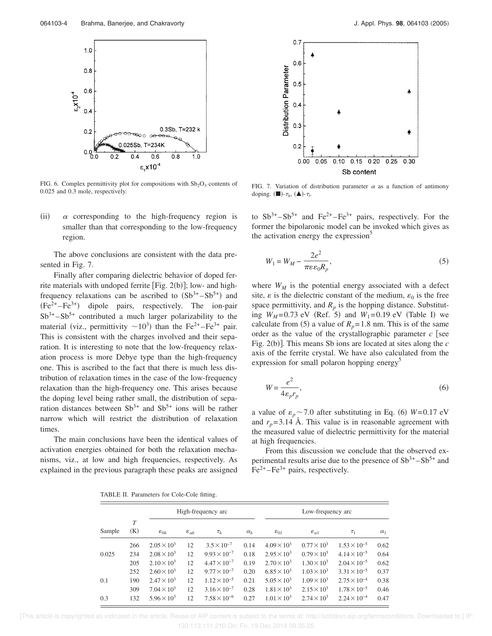

FIG. 6. Complex permittivity plot for compositions with  $Sb<sub>2</sub>O<sub>3</sub>$  contents of 0.025 and 0.3 mole, respectively.

 $(ii)$  $\alpha$  corresponding to the high-frequency region is smaller than that corresponding to the low-frequency region.

The above conclusions are consistent with the data presented in Fig. 7.

Finally after comparing dielectric behavior of doped ferrite materials with undoped ferrite [Fig.  $2(b)$ ]; low- and highfrequency relaxations can be ascribed to  $(Sb^{3+} - Sb^{5+})$  and  $(Fe^{2+}-Fe^{3+})$  dipole pairs, respectively. The ion-pair  $Sb^{3+} - Sb^{5+}$  contributed a much larger polarizability to the material (viz., permittivity  $\sim 10^3$ ) than the Fe<sup>2+</sup>-Fe<sup>3+</sup> pair. This is consistent with the charges involved and their separation. It is interesting to note that the low-frequency relaxation process is more Debye type than the high-frequency one. This is ascribed to the fact that there is much less distribution of relaxation times in the case of the low-frequency relaxation than the high-frequency one. This arises because the doping level being rather small, the distribution of separation distances between  $Sb^{3+}$  and  $Sb^{5+}$  ions will be rather narrow which will restrict the distribution of relaxation times.

The main conclusions have been the identical values of activation energies obtained for both the relaxation mechanisms, viz., at low and high frequencies, respectively. As explained in the previous paragraph these peaks are assigned



FIG. 7. Variation of distribution parameter  $\alpha$  as a function of antimony doping.  $(\blacksquare)$ - $\tau_h$ ,  $(\blacktriangle)$ - $\tau_l$ .

to  $Sb^{3+}-Sb^{5+}$  and  $Fe^{2+}-Fe^{3+}$  pairs, respectively. For the former the bipolaronic model can be invoked which gives as the activation energy the expression<sup>5</sup>

$$
W_1 = W_M - \frac{2e^2}{\pi \varepsilon \varepsilon_0 R_p},\tag{5}
$$

where  $W_M$  is the potential energy associated with a defect site,  $\varepsilon$  is the dielectric constant of the medium,  $\varepsilon_0$  is the free space permittivity, and  $R_p$  is the hopping distance. Substituting  $W_M = 0.73$  eV (Ref. 5) and  $W_1 = 0.19$  eV (Table I) we calculate from (5) a value of  $R_p = 1.8$  nm. This is of the same order as the value of the crystallographic parameter  $c$  see Fig. 2(b)]. This means Sb ions are located at sites along the *c* axis of the ferrite crystal. We have also calculated from the expression for small polaron hopping energy<sup>5</sup>

$$
W = \frac{e^2}{4\varepsilon_p r_p},\tag{6}
$$

a value of  $\varepsilon_p \sim 7.0$  after substituting in Eq. (6)  $W=0.17$  eV and  $r_p = 3.14$  Å. This value is in reasonable agreement with the measured value of dielectric permittivity for the material at high frequencies.

From this discussion we conclude that the observed experimental results arise due to the presence of  $Sb^{3+} - Sb^{5+}$  and  $Fe<sup>2+</sup> – Fe<sup>3+</sup> pairs, respectively.$ 

TABLE II. Parameters for Cole-Cole fitting.

|        |          | High-frequency arc   |                          |                       | Low-frequency arc |                      |                          |                       |            |
|--------|----------|----------------------|--------------------------|-----------------------|-------------------|----------------------|--------------------------|-----------------------|------------|
| Sample | T<br>(K) | $\varepsilon_{0h}$   | $\varepsilon_{\alpha h}$ | $\tau_h$              | $\alpha_h$        | $\varepsilon_{01}$   | $\varepsilon_{\alpha 1}$ | $\tau_1$              | $\alpha_1$ |
|        | 266      | $2.05 \times 10^3$   | 12                       | $3.5 \times 10^{-7}$  | 0.14              | $4.09 \times 10^{3}$ | $0.77 \times 10^3$       | $1.53 \times 10^{-5}$ | 0.62       |
| 0.025  | 234      | $2.08 \times 10^3$   | 12                       | $9.93 \times 10^{-7}$ | 0.18              | $2.95 \times 10^{3}$ | $0.79 \times 10^3$       | $4.14 \times 10^{-5}$ | 0.64       |
|        | 205      | $2.10 \times 10^3$   | 12                       | $4.47 \times 10^{-7}$ | 0.19              | $2.70 \times 10^3$   | $1.30 \times 10^3$       | $2.04 \times 10^{-5}$ | 0.62       |
| 0.1    | 252      | $2.60 \times 10^3$   | 12                       | $9.77 \times 10^{-7}$ | 0.20              | $6.85 \times 10^{3}$ | $1.03 \times 10^3$       | $3.31 \times 10^{-5}$ | 0.37       |
|        | 190      | $2.47 \times 10^3$   | 12                       | $1.12 \times 10^{-5}$ | 0.21              | $5.05 \times 10^{3}$ | $1.09 \times 10^{3}$     | $2.75 \times 10^{-4}$ | 0.38       |
|        | 309      | $7.04 \times 10^3$   | 12                       | $3.16 \times 10^{-7}$ | 0.28              | $1.81 \times 10^{3}$ | $2.15 \times 10^3$       | $1.78 \times 10^{-5}$ | 0.46       |
| 0.3    | 132      | $5.96 \times 10^{3}$ | 12                       | $7.58 \times 10^{-6}$ | 0.27              | $1.01 \times 10^{3}$ | $2.74 \times 10^3$       | $2.24 \times 10^{-4}$ | 0.47       |

 [This article is copyrighted as indicated in the article. Reuse of AIP content is subject to the terms at: http://scitation.aip.org/termsconditions. Downloaded to ] IP: 130.113.111.210 On: Fri, 19 Dec 2014 09:35:25